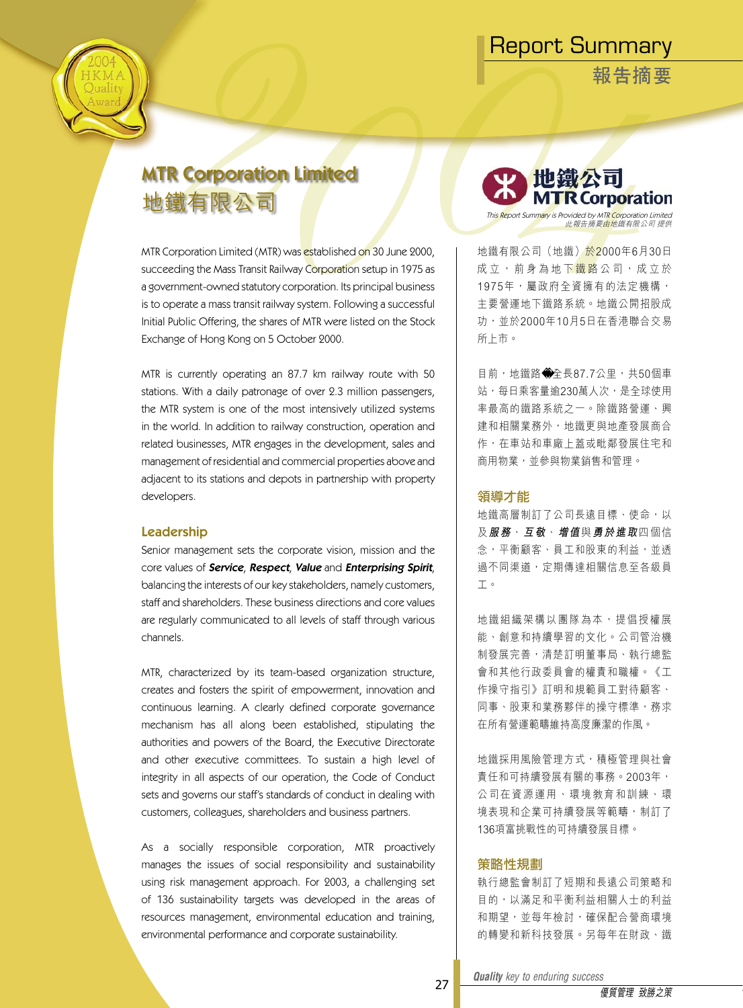**報告摘要**

# MTR Corporation Limited 地鐵有限公司

MTR Corporation Limited (MTR) was established on 30 June 2000, succeeding the Mass Transit Railway Corporation setup in 1975 as a government-owned statutory corporation. Its principal business is to operate a mass transit railway system. Following a successful Initial Public Offering, the shares of MTR were listed on the Stock Exchange of Hong Kong on 5 October 2000.

MTR is currently operating an 87.7 km railway route with 50 stations. With a daily patronage of over 2.3 million passengers, the MTR system is one of the most intensively utilized systems in the world. In addition to railway construction, operation and related businesses, MTR engages in the development, sales and management of residential and commercial properties above and adjacent to its stations and depots in partnership with property developers.

#### Leadership

Senior management sets the corporate vision, mission and the core values of **Service, Respect, Value** and **Enterprising Spirit**, balancing the interests of our key stakeholders, namely customers, staff and shareholders. These business directions and core values are regularly communicated to all levels of staff through various channels.

MTR, characterized by its team-based organization structure, creates and fosters the spirit of empowerment, innovation and continuous learning. A clearly defined corporate governance mechanism has all along been established, stipulating the authorities and powers of the Board, the Executive Directorate and other executive committees. To sustain a high level of integrity in all aspects of our operation, the Code of Conduct sets and governs our staff's standards of conduct in dealing with customers, colleagues, shareholders and business partners.

As a socially responsible corporation, MTR proactively manages the issues of social responsibility and sustainability using risk management approach. For 2003, a challenging set of 136 sustainability targets was developed in the areas of resources management, environmental education and training, environmental performance and corporate sustainability.



地鐵有限公司 (地鐵) 於2000年6月30日 成立, 前身為地下鐵路公司, 成立於 1975年,屬政府全資擁有的法定機構, 主要營運地下鐵路系統。地鐵公開招股成 功,並於2000年10月5日在香港聯合交易 所上市。

目前,地鐵路 全長87.7公里,共50個車 站,每日乘客量逾230萬人次,是全球使用 率最高的鐵路系統之一。除鐵路營運、興 建和相關業務外,地鐵更與地產發展商合 作,在車站和車廠上蓋或毗鄰發展住宅和 商用物業,並參與物業銷售和管理。

#### 領導才能

地鐵高層制訂了公司長遠目標、使命,以 及**服 務**、**互 敬**、**增 值**與**勇 於 進 取**四 個 信 念,平衡顧客、員工和股東的利益,並透 過不同渠道,定期傳達相關信息至各級員 工。

地 鐵 組 織 架 構 以 團 隊 為 本 , 提 倡 授 權 展 能、創意和持續學習的文化。公司管治機 制發展完善,清楚訂明董事局、執行總監 會和其他行政委員會的權責和職權。《工 作操守指引》訂明和規範員工對待顧客、 同事、股東和業務夥伴的操守標準,務求 在所有營運範疇維持高度廉潔的作風。

地鐵採用風險管理方式,積極管理與社會 責任和可持續發展有關的事務。2003年, 公 司 在 資 源 運 用 、 環 境 教 育 和 訓 練 、 環 境表現和企業可持續發展等範疇,制訂了 136項富挑戰性的可持續發展目標。

#### 策略性規劃

執行總監會制訂了短期和長遠公司策略和 目的,以滿足和平衡利益相關人士的利益 和期望,並每年檢討,確保配合營商環境 的轉變和新科技發展。另每年在財政、鐵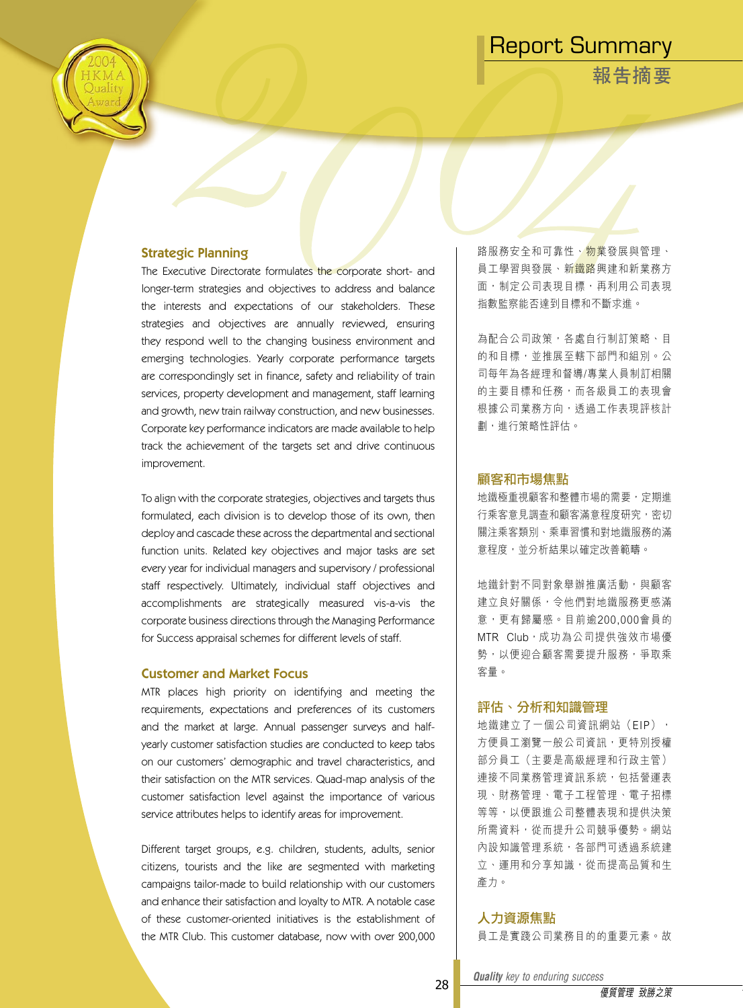**報告摘要**



The Executive Directorate formulates the corporate short- and longer-term strategies and objectives to address and balance the interests and expectations of our stakeholders. These strategies and objectives are annually reviewed, ensuring they respond well to the changing business environment and emerging technologies. Yearly corporate performance targets are correspondingly set in finance, safety and reliability of train services, property development and management, staff learning and growth, new train railway construction, and new businesses. Corporate key performance indicators are made available to help track the achievement of the targets set and drive continuous improvement.

To align with the corporate strategies, objectives and targets thus formulated, each division is to develop those of its own, then deploy and cascade these across the departmental and sectional function units. Related key objectives and major tasks are set every year for individual managers and supervisory / professional staff respectively. Ultimately, individual staff objectives and accomplishments are strategically measured vis-a-vis the corporate business directions through the Managing Performance for Success appraisal schemes for different levels of staff.

#### Customer and Market Focus

MTR places high priority on identifying and meeting the requirements, expectations and preferences of its customers and the market at large. Annual passenger surveys and halfyearly customer satisfaction studies are conducted to keep tabs on our customers' demographic and travel characteristics, and their satisfaction on the MTR services. Quad-map analysis of the customer satisfaction level against the importance of various service attributes helps to identify areas for improvement.

Different target groups, e.g. children, students, adults, senior citizens, tourists and the like are segmented with marketing campaigns tailor-made to build relationship with our customers and enhance their satisfaction and loyalty to MTR. A notable case of these customer-oriented initiatives is the establishment of the MTR Club. This customer database, now with over 200,000

路服務安全和可靠性、物業發展與管理、 員工學習與發展、新<mark>鐵路</mark>興建和新業務方 面,制定公司表現目標,再利用公司表現 指數監察能否達到目標和不斷求進。

為配合公司政策,各處自行制訂策略、目 的和目標,並推展至轄下部門和組別。公 司每年為各經理和督導/專業人員制訂相關 的主要目標和任務,而各級員工的表現會 根據公司業務方向,透過工作表現評核計 劃,進行策略性評估。

#### 顧客和市場焦點

地鐵極重視顧客和整體市場的需要,定期進 行乘客意見調查和顧客滿意程度研究,密切 關注乘客類別、乘車習慣和對地鐵服務的滿 意程度,並分析結果以確定改善範疇。

地鐵針對不同對象舉辦推廣活動,與顧客 建立良好關係,令他們對地鐵服務更感滿 意,更有歸屬感。目前逾200,000會員的 MTR Club, 成功為公司提供強效市場優 勢,以便迎合顧客需要提升服務,爭取乘 客量。

#### 評估、分析和知識管理

地鐵建立了一個公司資訊網站 (EIP), 方便員工瀏覽一般公司資訊,更特別授權 部分員工(主要是高級經理和行政主管) 連接不同業務管理資訊系統,包括營運表 現、財務管理、電子工程管理、電子招標 等等,以便跟進公司整體表現和提供決策 所需資料,從而提升公司競爭優勢。網站 內設知識管理系統,各部門可透過系統建 立、運用和分享知識,從而提高品質和生 產力。

#### 人力資源焦點

員工是實踐公司業務目的的重要元素。故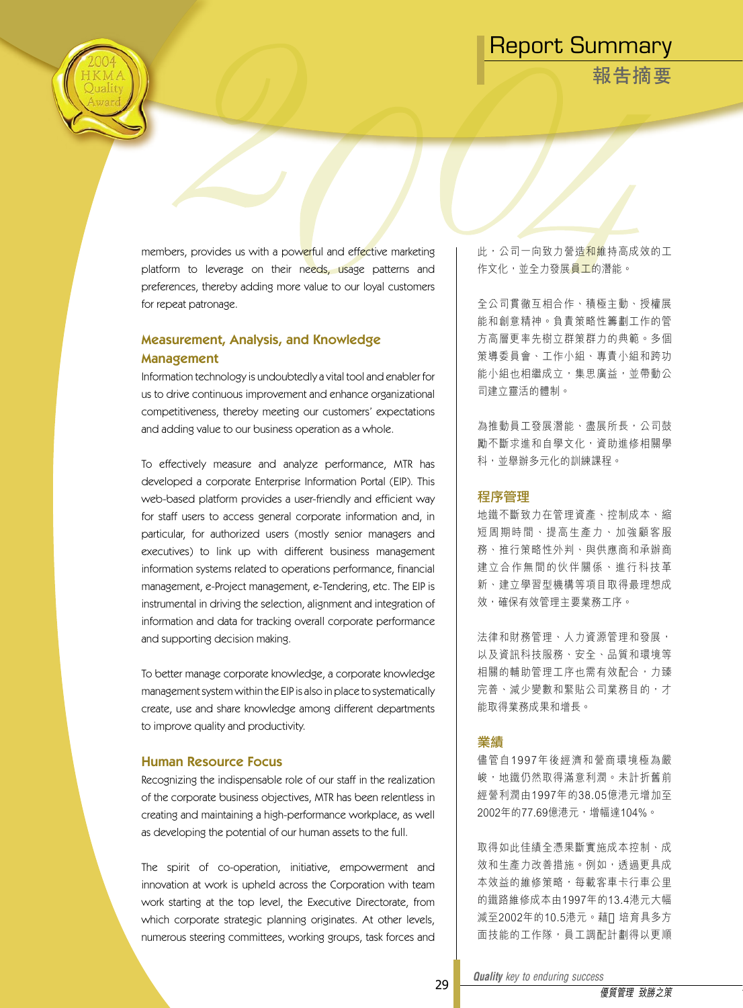**報告摘要**

members, provides us with a powerful and effective marketing platform to leverage on their needs, usage patterns and preferences, thereby adding more value to our loyal customers for repeat patronage.

### Measurement, Analysis, and Knowledge Management

Information technology is undoubtedly a vital tool and enabler for us to drive continuous improvement and enhance organizational competitiveness, thereby meeting our customers' expectations and adding value to our business operation as a whole.

To effectively measure and analyze performance, MTR has developed a corporate Enterprise Information Portal (EIP). This web-based platform provides a user-friendly and efficient way for staff users to access general corporate information and, in particular, for authorized users (mostly senior managers and executives) to link up with different business management information systems related to operations performance, financial management, e-Project management, e-Tendering, etc. The EIP is instrumental in driving the selection, alignment and integration of information and data for tracking overall corporate performance and supporting decision making.

To better manage corporate knowledge, a corporate knowledge management system within the EIP is also in place to systematically create, use and share knowledge among different departments to improve quality and productivity.

#### Human Resource Focus

Recognizing the indispensable role of our staff in the realization of the corporate business objectives, MTR has been relentless in creating and maintaining a high-performance workplace, as well as developing the potential of our human assets to the full.

The spirit of co-operation, initiative, empowerment and innovation at work is upheld across the Corporation with team work starting at the top level, the Executive Directorate, from which corporate strategic planning originates. At other levels, numerous steering committees, working groups, task forces and

此,公司一向致力營造和維持高成效的工 作文化,並全力發展員工的潛能。

全公司貫徹互相合作、積極主動、授權展 能和創意精神。負責策略性籌劃工作的管 方高層更率先樹立群策群力的典範。多個 策導委員會、工作小組、專責小組和跨功 能小組也相繼成立,集思廣益,並帶動公 司建立靈活的體制。

為推動員工發展潛能、盡展所長,公司鼓 勵不斷求進和自學文化,資助進修相關學 科,並舉辦多元化的訓練課程。

#### 程序管理

地鐵不斷致力在管理資產、控制成本、縮 短 周 期 時 間 、 提 高 生 產 力 、 加 強 顧 客 服 務、推行策略性外判、與供應商和承辦商 建立合作無間的伙伴關係、進行科技革 新、建立學習型機構等項目取得最理想成 效,確保有效管理主要業務工序。

法律和財務管理、人力資源管理和發展, 以及資訊科技服務、安全、品質和環境等 相關的輔助管理工序也需有效配合,力臻 完善、減少變數和緊貼公司業務目的,才 能取得業務成果和增長。

#### 業績

儘管自1997年後經濟和營商環境極為嚴 峻,地鐵仍然取得滿意利潤。未計折舊前 經營利潤由1997年的38.05億港元增加至 2002年的77.69億港元,增幅達104%。

取得如此佳績全憑果斷實施成本控制、成 效和生產力改善措施。例如,透過更具成 本效益的維修策略,每載客車卡行車公里 的鐵路維修成本由1997年的13.4港元大幅 減至2002年的10.5港元。藉 培育具多方 面技能的工作隊,員工調配計劃得以更順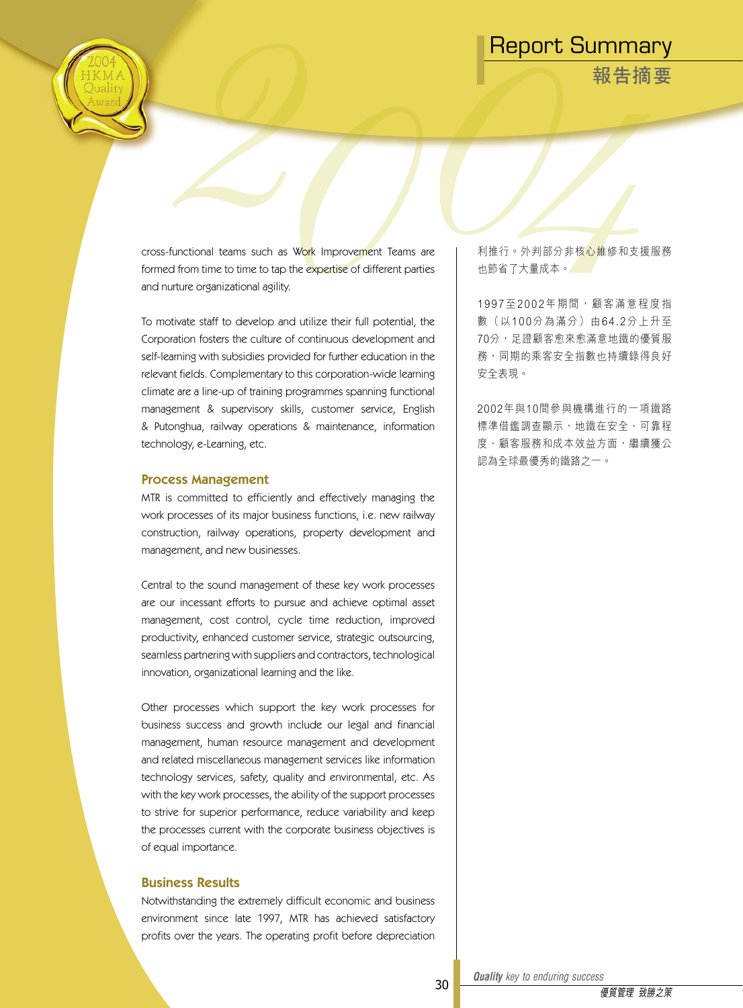**報告摘要**

cross-functional teams such as Work Improvement Teams are formed from time to time to tap the expertise of different parties and nurture organizational agility.

To motivate staff to develop and utilize their full potential, the Corporation fosters the culture of continuous development and self-learning with subsidies provided for further education in the relevant fields. Complementary to this corporation-wide learning climate are a line-up of training programmes spanning functional management & supervisory skills, customer service, English & Putonghua, railway operations & maintenance, information technology, e-Learning, etc.

#### Process Management

MTR is committed to efficiently and effectively managing the work processes of its major business functions, i.e. new railway construction, railway operations, property development and management, and new businesses.

Central to the sound management of these key work processes are our incessant efforts to pursue and achieve optimal asset management, cost control, cycle time reduction, improved productivity, enhanced customer service, strategic outsourcing, seamless partnering with suppliers and contractors, technological innovation, organizational learning and the like.

Other processes which support the key work processes for business success and growth include our legal and financial management, human resource management and development and related miscellaneous management services like information technology services, safety, quality and environmental, etc. As with the key work processes, the ability of the support processes to strive for superior performance, reduce variability and keep the processes current with the corporate business objectives is of equal importance.

#### Business Results

Notwithstanding the extremely difficult economic and business environment since late 1997, MTR has achieved satisfactory profits over the years. The operating profit before depreciation

利推行。外判部分非核心維修和支援服務 也節省了大量成本。

1 9 9 7 至 2 0 0 2 年 期 間 , 顧 客 滿 意 程 度 指 數 (以100分為滿分)由64.2分上升至 70分,足證顧客愈來愈滿意地鐵的優質服 務,同期的乘客安全指數也持續錄得良好 安全表現。

2002年與10間參與機構進行的一項鐵路 標準借鑑調查顯示,地鐵在安全、可靠程 度、顧客服務和成本效益方面,繼續獲公 認為全球最優秀的鐵路之一。